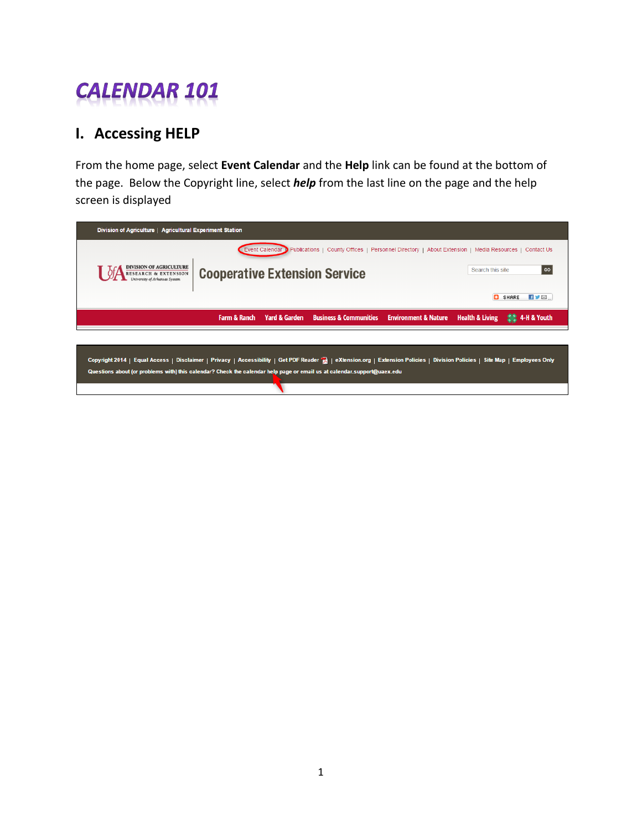## **CALENDAR 101**

## **I. Accessing HELP**

From the home page, select **Event Calendar** and the **Help** link can be found at the bottom of the page. Below the Copyright line, select *help* from the last line on the page and the help screen is displayed

| Division of Agriculture   Agricultural Experiment Station                                                                                                                    |                                      |                                                                                                                       |  |                            |                            |
|------------------------------------------------------------------------------------------------------------------------------------------------------------------------------|--------------------------------------|-----------------------------------------------------------------------------------------------------------------------|--|----------------------------|----------------------------|
|                                                                                                                                                                              |                                      | Event Calendar D Publications   County Offices   Personnel Directory   About Extension   Media Resources   Contact Us |  |                            |                            |
| <b>DIVISION OF AGRICULTURE</b><br>RESEARCH & EXTENSION<br>University of Arkansas System                                                                                      | <b>Cooperative Extension Service</b> |                                                                                                                       |  | Search this site           | GO                         |
|                                                                                                                                                                              |                                      |                                                                                                                       |  | o                          | HYM.<br><b>SHARE</b>       |
|                                                                                                                                                                              | <b>Farm &amp; Ranch</b>              | Yard & Garden Business & Communities Environment & Nature                                                             |  | <b>Health &amp; Living</b> | <b>SAR 4-H &amp; Youth</b> |
|                                                                                                                                                                              |                                      |                                                                                                                       |  |                            |                            |
| Copyright 2014   Equal Access   Disclaimer   Privacy   Accessibility   Get PDF Reader     eXtension.org   Extension Policies   Division Policies   Site Map   Employees Only |                                      |                                                                                                                       |  |                            |                            |
| Questions about (or problems with) this calendar? Check the calendar help page or email us at calendar.support@uaex.edu                                                      |                                      |                                                                                                                       |  |                            |                            |

◥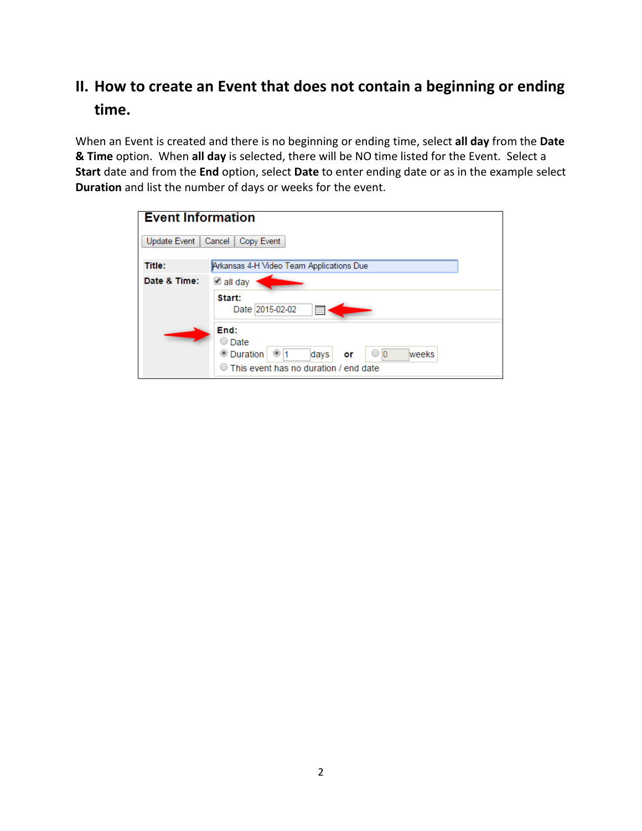## **II. How to create an Event that does not contain a beginning or ending time.**

When an Event is created and there is no beginning or ending time, select **all day** from the **Date & Time** option. When **all day** is selected, there will be NO time listed for the Event. Select a **Start** date and from the **End** option, select **Date** to enter ending date or as in the example select **Duration** and list the number of days or weeks for the event.

| <b>Event Information</b> |                                                                                                                                                   |  |
|--------------------------|---------------------------------------------------------------------------------------------------------------------------------------------------|--|
| Update Event             | Cancel<br>Copy Event                                                                                                                              |  |
| <b>Title:</b>            | Arkansas 4-H Video Team Applications Due                                                                                                          |  |
| Date & Time:             | ■ all day<br>Start:<br>Date 2015-02-02<br>肼                                                                                                       |  |
|                          | End:<br>$\supset$ Date<br><b>O</b> Duration<br>$\bigcirc$ $\bigcirc$<br>days<br>weeks<br>1<br>or<br>$\circ$ This event has no duration / end date |  |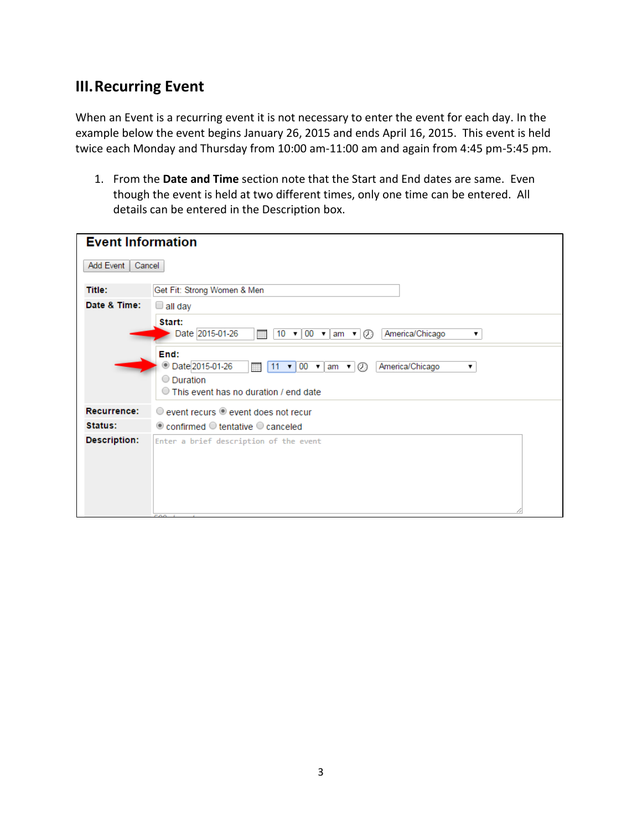## **III.Recurring Event**

When an Event is a recurring event it is not necessary to enter the event for each day. In the example below the event begins January 26, 2015 and ends April 16, 2015. This event is held twice each Monday and Thursday from 10:00 am-11:00 am and again from 4:45 pm-5:45 pm.

1. From the **Date and Time** section note that the Start and End dates are same. Even though the event is held at two different times, only one time can be entered. All details can be entered in the Description box.

| <b>Event Information</b> |                                                                                                                                                                                              |
|--------------------------|----------------------------------------------------------------------------------------------------------------------------------------------------------------------------------------------|
| Add Event<br>Cancel      |                                                                                                                                                                                              |
| Title:                   | Get Fit: Strong Women & Men                                                                                                                                                                  |
| Date & Time:             | $\Box$ all day                                                                                                                                                                               |
|                          | Start:<br>Date 2015-01-26<br>America/Chicago<br>$10 \cdot 100 \cdot \tan \cdot \circ \odot$<br>₩<br>▼                                                                                        |
|                          | End:<br><b>Date 2015-01-26</b><br>America/Chicago<br>$\mathbf{v}$ 00 $\mathbf{v}$ am $\mathbf{v}$<br>$\mathcal{O}$<br>11<br>▼<br>◯ Duration<br>$\circ$ This event has no duration / end date |
| Recurrence:              | $\circ$ event recurs $\circ$ event does not recur                                                                                                                                            |
| Status:                  | $\odot$ confirmed $\odot$ tentative $\odot$ canceled                                                                                                                                         |
| <b>Description:</b>      | Enter a brief description of the event                                                                                                                                                       |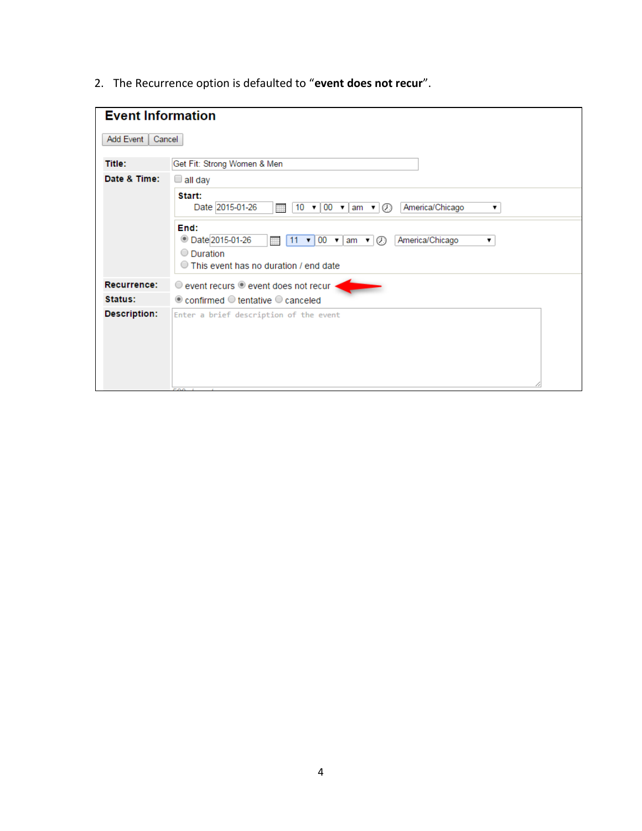2. The Recurrence option is defaulted to "**event does not recur**".

| <b>Event Information</b> |                                                                                                                                                                                              |  |
|--------------------------|----------------------------------------------------------------------------------------------------------------------------------------------------------------------------------------------|--|
| Add Event<br>Cancel      |                                                                                                                                                                                              |  |
| Title:                   | Get Fit: Strong Women & Men                                                                                                                                                                  |  |
| Date & Time:             | $\Box$ all day                                                                                                                                                                               |  |
|                          | Start:<br>Date 2015-01-26<br>$10 \cdot 100 \cdot \tan \cdot \sqrt{2}$<br>America/Chicago<br>m<br>▼                                                                                           |  |
|                          | End:<br><b>Date 2015-01-26</b><br>America/Chicago<br>11 $\mathbf{v}$ 00 $\mathbf{v}$ am $\mathbf{v}$ $\odot$<br>曲<br>۷.<br>$\circ$ Duration<br>$\circ$ This event has no duration / end date |  |
| Recurrence:              | event recurs $\bullet$ event does not recur                                                                                                                                                  |  |
| Status:                  | $\odot$ confirmed $\odot$ tentative $\odot$ canceled                                                                                                                                         |  |
| <b>Description:</b>      | Enter a brief description of the event<br><b>FAA</b>                                                                                                                                         |  |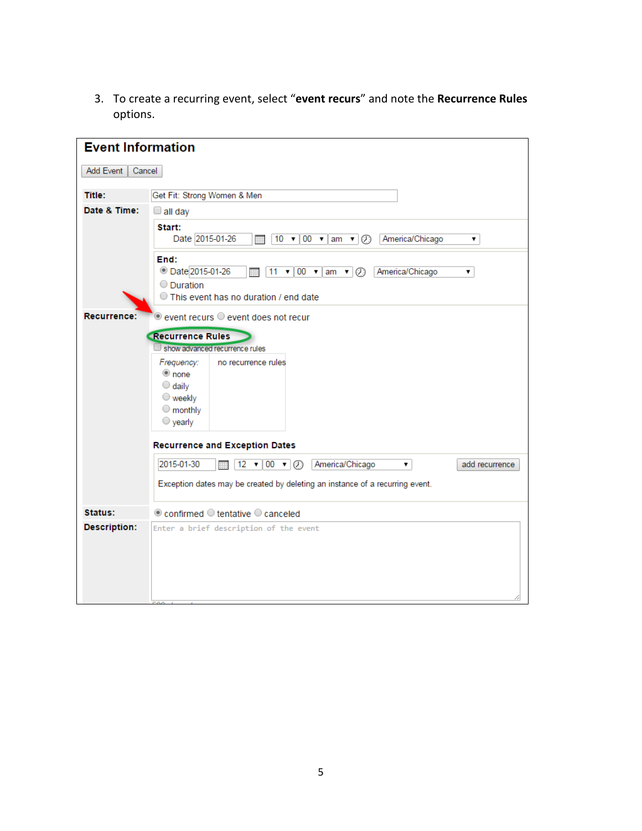3. To create a recurring event, select "**event recurs**" and note the **Recurrence Rules** options.

| <b>Event Information</b> |                                                                                                                                                                                 |
|--------------------------|---------------------------------------------------------------------------------------------------------------------------------------------------------------------------------|
| Add Event<br>Cancel      |                                                                                                                                                                                 |
| <b>Title:</b>            | Get Fit: Strong Women & Men                                                                                                                                                     |
| Date & Time:             | $\square$ all day                                                                                                                                                               |
|                          | Start:<br>Date 2015-01-26<br>$10 \times 100 \times \text{am} \times \text{O}$<br>America/Chicago<br>狦<br>▼                                                                      |
|                          | End:<br><b>Date 2015-01-26</b><br>America/Chicago<br>$11 -$<br>$\mathbf{v}$ 00 $\mathbf{v}$ am $\mathbf{v}$ $\odot$<br>▼<br>O Duration<br>This event has no duration / end date |
| Recurrence:              | $\odot$ event recurs $\odot$ event does not recur                                                                                                                               |
|                          | <b>Recurrence Rules</b><br>show advanced recurrence rules                                                                                                                       |
|                          | Frequency:<br>no recurrence rules<br>to none<br>$\bigcirc$ daily<br>$\bigcirc$ weekly<br>$\bigcirc$ monthly<br>$\bigcirc$ yearly                                                |
|                          | <b>Recurrence and Exception Dates</b>                                                                                                                                           |
|                          | 2015-01-30<br>America/Chicago<br>add recurrence<br>$12 \times 100 \times 100$<br>۷.<br>₩                                                                                        |
|                          | Exception dates may be created by deleting an instance of a recurring event.                                                                                                    |
| Status:                  | $\odot$ confirmed $\odot$ tentative $\odot$ canceled                                                                                                                            |
| <b>Description:</b>      | Enter a brief description of the event                                                                                                                                          |
|                          |                                                                                                                                                                                 |